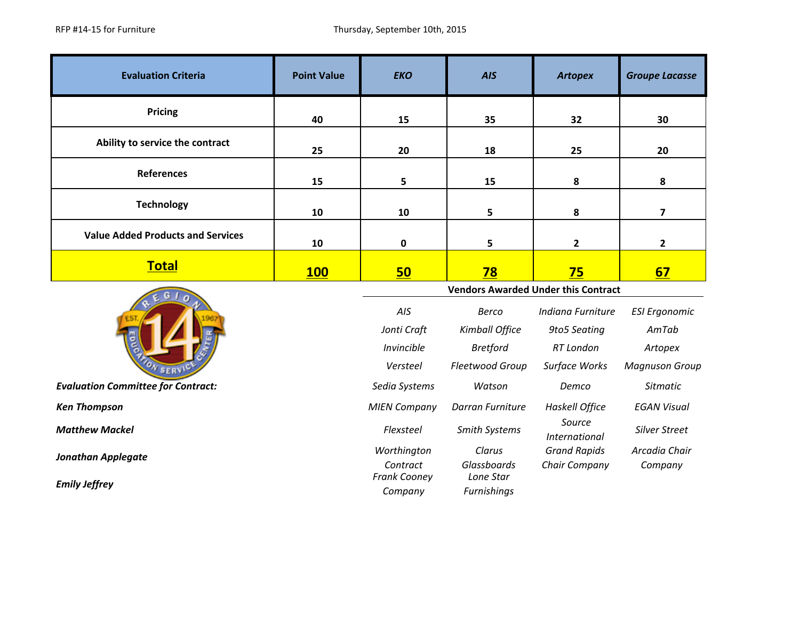| <b>Evaluation Criteria</b>                 | <b>Point Value</b> | <b>EKO</b>                                 | <b>AIS</b>               | <b>Artopex</b>                 | <b>Groupe Lacasse</b>   |  |
|--------------------------------------------|--------------------|--------------------------------------------|--------------------------|--------------------------------|-------------------------|--|
| Pricing                                    | 40                 | 15                                         | 35                       | 32                             | 30                      |  |
| Ability to service the contract            | 25                 | 20                                         | 18                       | 25                             | 20                      |  |
| <b>References</b>                          | 15                 | 5                                          | 15                       | 8                              | 8                       |  |
| <b>Technology</b>                          | 10                 | 10                                         | 5                        | 8                              | $\overline{\mathbf{z}}$ |  |
| <b>Value Added Products and Services</b>   | 10                 | $\pmb{0}$                                  | 5                        | $\mathbf 2$                    | $\mathbf{2}$            |  |
| <b>Total</b>                               | <b>100</b>         | 50                                         | <u>78</u>                | 75                             | 67                      |  |
|                                            |                    | <b>Vendors Awarded Under this Contract</b> |                          |                                |                         |  |
|                                            |                    |                                            |                          |                                |                         |  |
|                                            |                    | AIS                                        | <b>Berco</b>             | Indiana Furniture              | <b>ESI Ergonomic</b>    |  |
|                                            |                    | Jonti Craft                                | Kimball Office           | 9to5 Seating                   | AmTab                   |  |
|                                            |                    | Invincible                                 | <b>Bretford</b>          | RT London                      | Artopex                 |  |
| SERN                                       |                    | Versteel                                   | Fleetwood Group          | Surface Works                  | <b>Magnuson Group</b>   |  |
| <b>Evaluation Committee for Contract:</b>  |                    | Sedia Systems                              | Watson                   | Demco                          | <b>Sitmatic</b>         |  |
| <b>Ken Thompson</b>                        |                    | <b>MIEN Company</b>                        | Darran Furniture         | Haskell Office                 | <b>EGAN Visual</b>      |  |
| <b>Matthew Mackel</b>                      |                    | Flexsteel                                  | <b>Smith Systems</b>     | Source<br><b>International</b> | <b>Silver Street</b>    |  |
|                                            |                    | Worthington                                | Clarus                   | <b>Grand Rapids</b>            | Arcadia Chair           |  |
| Jonathan Applegate<br><b>Emily Jeffrey</b> |                    | Contract<br>Frank Cooney                   | Glassboards<br>Lone Star | Chair Company                  | Company                 |  |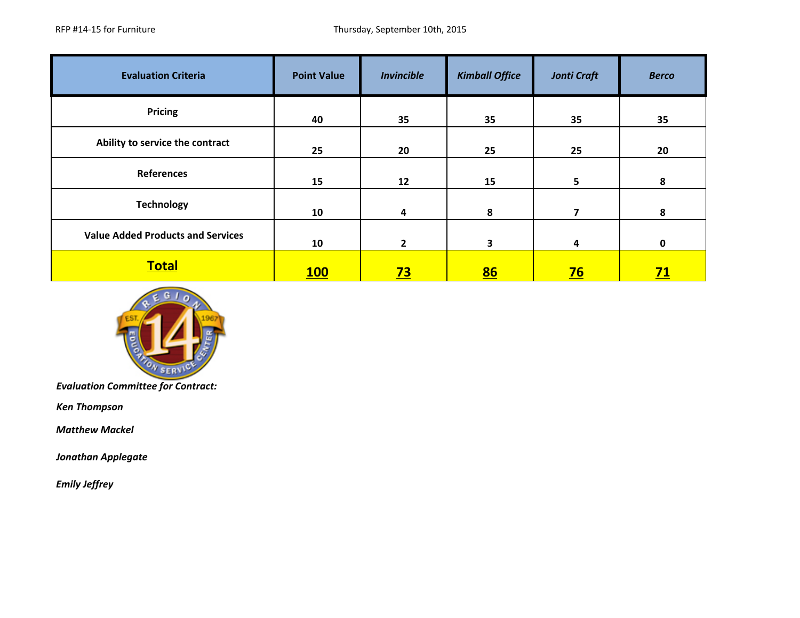| <b>Evaluation Criteria</b>               | <b>Point Value</b> | <b>Invincible</b> | <b>Kimball Office</b> | <b>Jonti Craft</b> | <b>Berco</b> |
|------------------------------------------|--------------------|-------------------|-----------------------|--------------------|--------------|
| <b>Pricing</b>                           | 40                 | 35                | 35                    | 35                 | 35           |
| Ability to service the contract          | 25                 | 20                | 25                    | 25                 | 20           |
| <b>References</b>                        | 15                 | 12                | 15                    | 5 <sup>5</sup>     | 8            |
| <b>Technology</b>                        | 10                 | 4                 | 8                     | 7                  | 8            |
| <b>Value Added Products and Services</b> | 10                 | $\mathbf{2}$      | 3                     | 4                  | $\mathbf{0}$ |
| <b>Total</b>                             | <b>100</b>         | <u>73</u>         | 86                    | $\overline{76}$    | <u>71</u>    |



*Ken Thompson*

 *Matthew Mackel*

*Jonathan Applegate*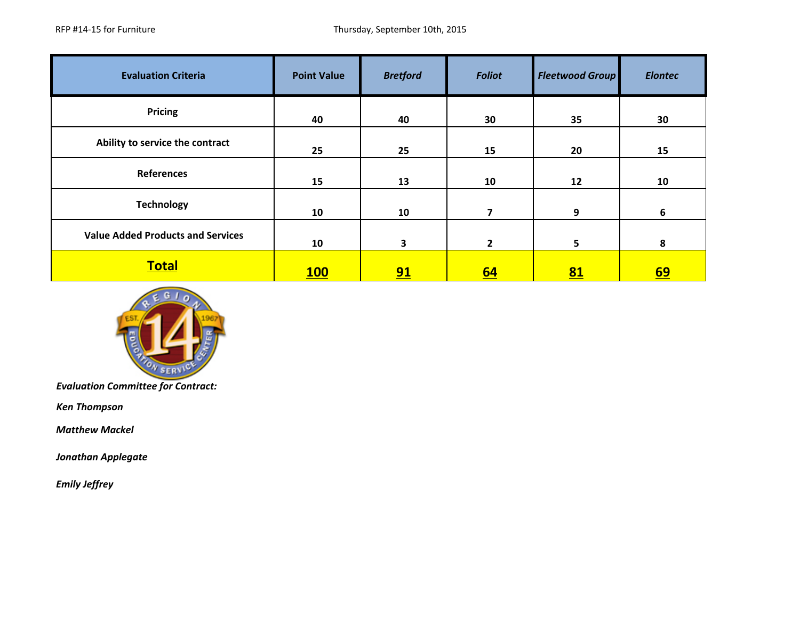| <b>Evaluation Criteria</b>               | <b>Point Value</b> | <b>Bretford</b> | <b>Foliot</b>  | <b>Fleetwood Group</b> | <b>Elontec</b> |
|------------------------------------------|--------------------|-----------------|----------------|------------------------|----------------|
| <b>Pricing</b>                           | 40                 | 40              | 30             | 35                     | 30             |
| Ability to service the contract          | 25                 | 25              | 15             | 20                     | 15             |
| <b>References</b>                        | 15                 | 13              | 10             | 12                     | 10             |
| <b>Technology</b>                        | 10                 | 10              | $\overline{7}$ | 9                      | 6              |
| <b>Value Added Products and Services</b> | 10                 | 3               | $\mathbf{2}$   | 5 <sup>5</sup>         | 8              |
| <b>Total</b>                             | <b>100</b>         | 91              | <u>64</u>      | 81                     | <u>69</u>      |



*Ken Thompson*

 *Matthew Mackel*

*Jonathan Applegate*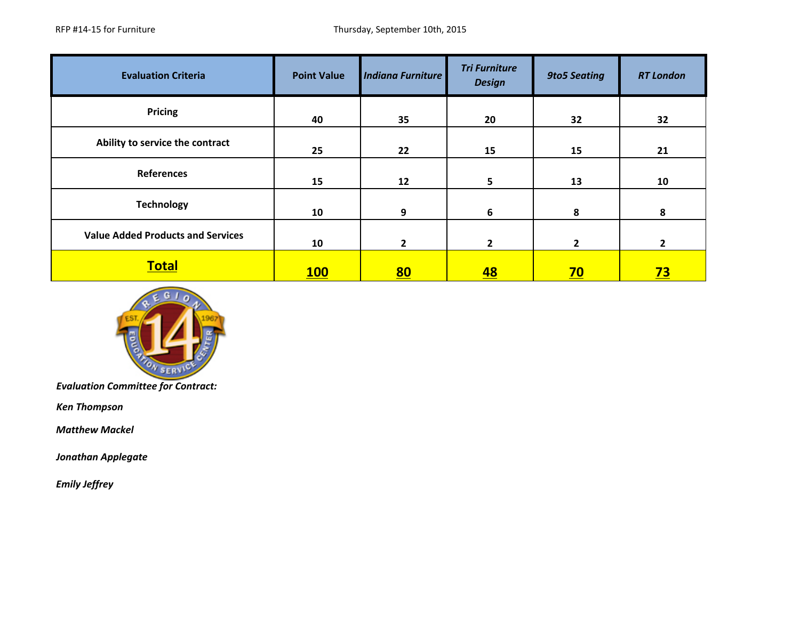| <b>Evaluation Criteria</b>               | <b>Point Value</b> | <b>Indiana Furniture</b> | <b>Tri Furniture</b><br><b>Design</b> | <b>9to5 Seating</b> | <b>RT London</b> |
|------------------------------------------|--------------------|--------------------------|---------------------------------------|---------------------|------------------|
| <b>Pricing</b>                           | 40                 | 35                       | 20                                    | 32                  | 32               |
| Ability to service the contract          | 25                 | 22                       | 15                                    | 15                  | 21               |
| <b>References</b>                        | 15                 | 12                       | 5                                     | 13                  | 10               |
| <b>Technology</b>                        | 10                 | 9                        | 6                                     | 8                   | 8                |
| <b>Value Added Products and Services</b> | 10                 | $\mathbf{2}$             | $\mathbf{2}$                          | $\mathbf{2}$        | $\overline{2}$   |
| <b>Total</b>                             | 100                | <u>80</u>                | <u>48</u>                             | <u>70</u>           | <u>73</u>        |



*Ken Thompson*

 *Matthew Mackel*

*Jonathan Applegate*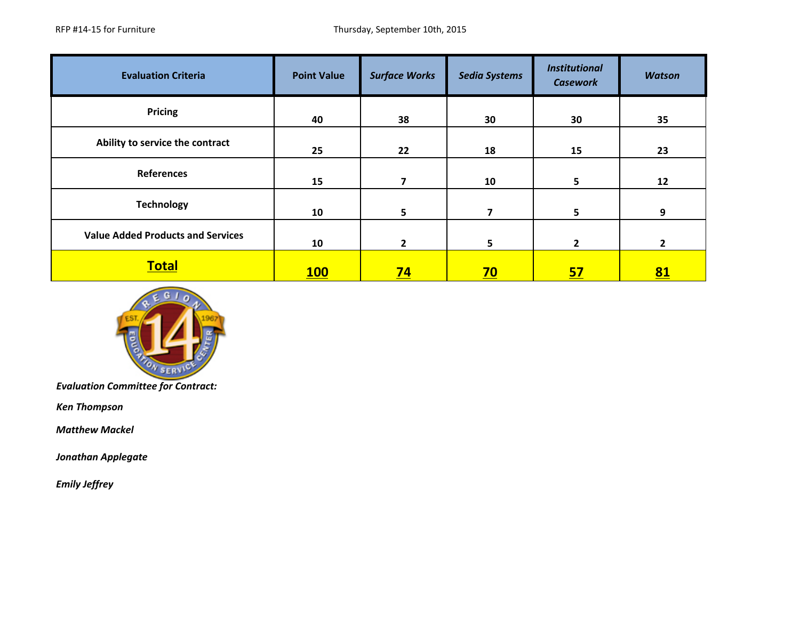| <b>Evaluation Criteria</b>               | <b>Point Value</b> | <b>Surface Works</b> | <b>Sedia Systems</b> | <b>Institutional</b><br><b>Casework</b> | <b>Watson</b> |
|------------------------------------------|--------------------|----------------------|----------------------|-----------------------------------------|---------------|
| <b>Pricing</b>                           | 40                 | 38                   | 30                   | 30                                      | 35            |
| Ability to service the contract          | 25                 | 22                   | 18                   | 15                                      | 23            |
| <b>References</b>                        | 15                 | 7                    | 10                   | 5                                       | 12            |
| <b>Technology</b>                        | 10                 | 5                    | 7                    | 5 <sup>5</sup>                          | 9             |
| <b>Value Added Products and Services</b> | 10                 | $\mathbf{2}$         | 5                    | $\mathbf{2}$                            | $\mathbf{2}$  |
| <b>Total</b>                             | <b>100</b>         | <u>74</u>            | <u>70</u>            | <u>57</u>                               | <u>81</u>     |



*Ken Thompson*

 *Matthew Mackel*

*Jonathan Applegate*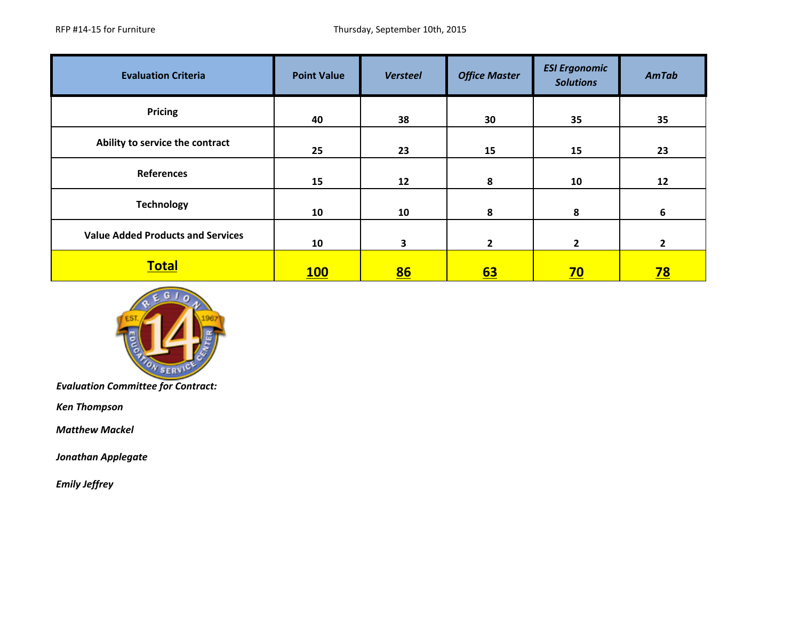| <b>Evaluation Criteria</b>               | <b>Point Value</b> | <b>Versteel</b> | <b>Office Master</b> | <b>ESI Ergonomic</b><br><b>Solutions</b> | AmTab          |
|------------------------------------------|--------------------|-----------------|----------------------|------------------------------------------|----------------|
| Pricing                                  | 40                 | 38              | 30                   | 35                                       | 35             |
| Ability to service the contract          | 25                 | 23              | 15                   | 15                                       | 23             |
| <b>References</b>                        | 15                 | 12              | 8                    | 10                                       | 12             |
| <b>Technology</b>                        | 10                 | 10              | 8                    | 8                                        | 6              |
| <b>Value Added Products and Services</b> | 10                 | 3               | $\overline{2}$       | $\mathbf{2}$                             | $\overline{2}$ |
| <b>Total</b>                             | <b>100</b>         | 86              | <u>63</u>            | <u>70</u>                                | <u>78</u>      |



*Ken Thompson*

 *Matthew Mackel*

*Jonathan Applegate*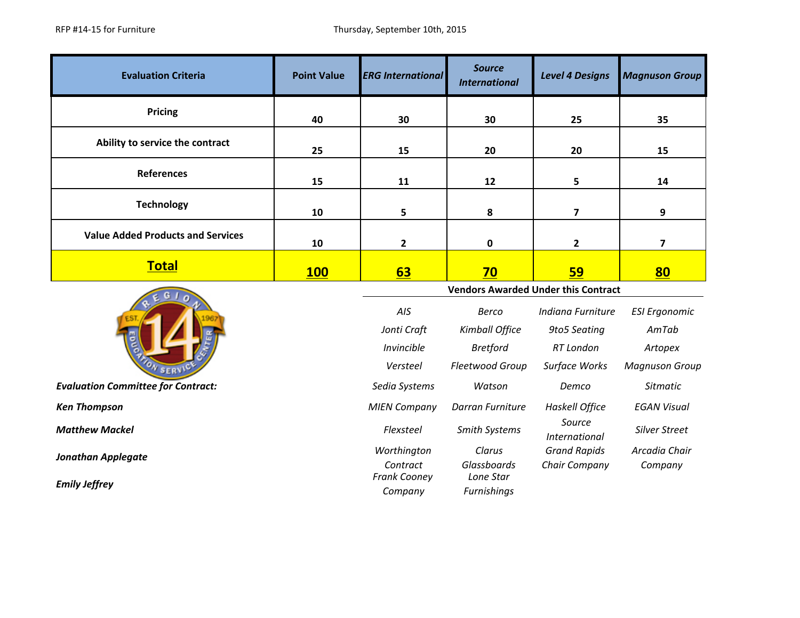| <b>Evaluation Criteria</b>                        | <b>Point Value</b> | <b>ERG International</b>                   | <b>Source</b><br><b>International</b> | <b>Level 4 Designs</b>         | <b>Magnuson Group</b>   |  |
|---------------------------------------------------|--------------------|--------------------------------------------|---------------------------------------|--------------------------------|-------------------------|--|
| <b>Pricing</b>                                    | 40                 | 30                                         | 30                                    | 25                             | 35                      |  |
| Ability to service the contract                   | 25                 | 15                                         | 20                                    | 20                             | 15                      |  |
| <b>References</b>                                 | 15                 | 11                                         | 12                                    | 5                              | 14                      |  |
| <b>Technology</b>                                 | 10                 | 5                                          | 8                                     | $\overline{\mathbf{z}}$        | 9                       |  |
| <b>Value Added Products and Services</b>          | 10                 | $\mathbf{2}$                               | 0                                     | $\mathbf{2}$                   | $\overline{\mathbf{z}}$ |  |
| <b>Total</b>                                      | 100                | <b>63</b>                                  | 70                                    | <u>59</u>                      | <u>80</u>               |  |
|                                                   |                    | <b>Vendors Awarded Under this Contract</b> |                                       |                                |                         |  |
|                                                   |                    | AIS                                        | <b>Berco</b>                          | Indiana Furniture              | <b>ESI Ergonomic</b>    |  |
|                                                   |                    |                                            |                                       |                                |                         |  |
|                                                   |                    | Jonti Craft                                | Kimball Office                        | 9to5 Seating                   | AmTab                   |  |
|                                                   |                    | Invincible                                 | <b>Bretford</b>                       | <b>RT</b> London               | Artopex                 |  |
| S F R'                                            |                    | Versteel                                   | Fleetwood Group                       | Surface Works                  | <b>Magnuson Group</b>   |  |
| <b>Evaluation Committee for Contract:</b>         |                    | Sedia Systems                              | Watson                                | Demco                          | <b>Sitmatic</b>         |  |
| <b>Ken Thompson</b>                               |                    | <b>MIEN Company</b>                        | Darran Furniture                      | <b>Haskell Office</b>          | <b>EGAN Visual</b>      |  |
| <b>Matthew Mackel</b>                             |                    | Flexsteel                                  | Smith Systems                         | Source<br><b>International</b> | <b>Silver Street</b>    |  |
|                                                   |                    | Worthington                                | Clarus                                | <b>Grand Rapids</b>            | Arcadia Chair           |  |
| <b>Jonathan Applegate</b><br><b>Emily Jeffrey</b> |                    | Contract<br>Frank Cooney                   | Glassboards<br>Lone Star              | Chair Company                  | Company                 |  |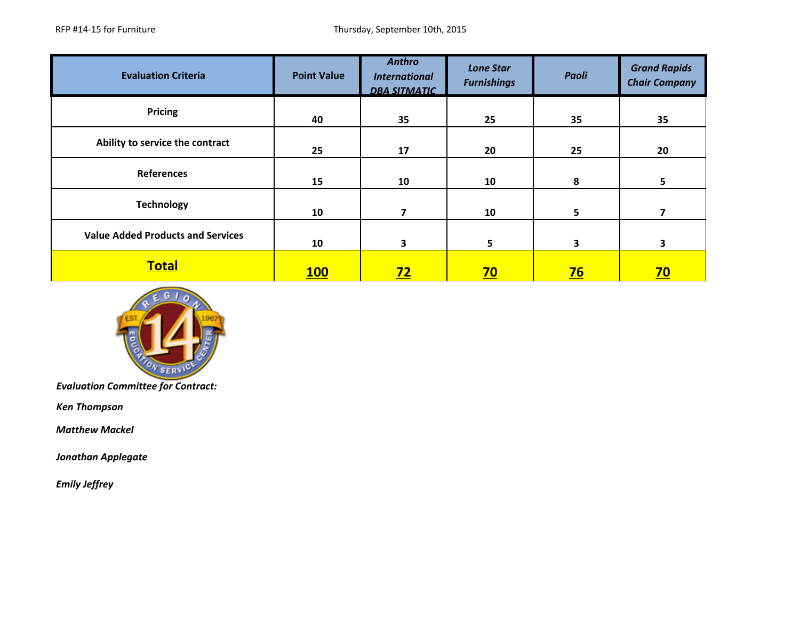| <b>Evaluation Criteria</b>               | <b>Point Value</b> | <b>Anthro</b><br><b>International</b><br><b>DBA SITMATIC</b> | <b>Lone Star</b><br><b>Furnishings</b> | Paoli     | <b>Grand Rapids</b><br><b>Chair Company</b> |
|------------------------------------------|--------------------|--------------------------------------------------------------|----------------------------------------|-----------|---------------------------------------------|
| <b>Pricing</b>                           | 40                 | 35                                                           | 25                                     | 35        | 35                                          |
| Ability to service the contract          | 25                 | 17                                                           | 20                                     | 25        | 20                                          |
| <b>References</b>                        | 15                 | 10                                                           | 10                                     | 8         | 5                                           |
| <b>Technology</b>                        | 10                 | 7                                                            | 10                                     | 5         |                                             |
| <b>Value Added Products and Services</b> | 10                 | 3                                                            | 5                                      | 3         | 3                                           |
| <b>Total</b>                             | <b>100</b>         | Z <sub>2</sub>                                               | <u>70</u>                              | <u>76</u> | <u>70</u>                                   |



*Ken Thompson*

 *Matthew Mackel*

*Jonathan Applegate*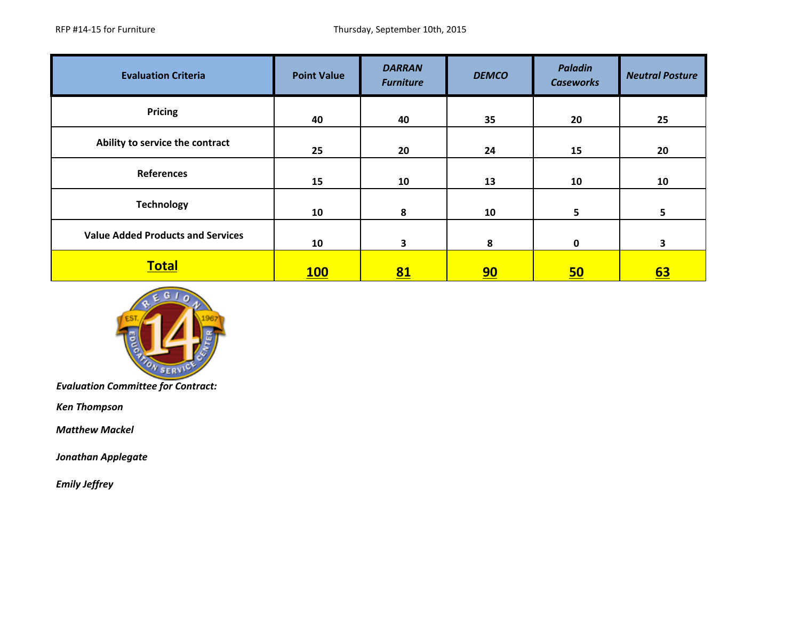| <b>Evaluation Criteria</b>               | <b>Point Value</b> | <b>DARRAN</b><br><b>Furniture</b> | <b>DEMCO</b> | <b>Paladin</b><br><b>Caseworks</b> | <b>Neutral Posture</b> |
|------------------------------------------|--------------------|-----------------------------------|--------------|------------------------------------|------------------------|
| Pricing                                  | 40                 | 40                                | 35           | 20                                 | 25                     |
| Ability to service the contract          | 25                 | 20                                | 24           | 15                                 | 20                     |
| <b>References</b>                        | 15                 | 10                                | 13           | 10                                 | 10                     |
| <b>Technology</b>                        | 10                 | 8                                 | 10           | 5 <sup>5</sup>                     | 5                      |
| <b>Value Added Products and Services</b> | 10                 | 3                                 | 8            | 0                                  | 3                      |
| <b>Total</b>                             | 100                | 81                                | 90           | 50                                 | <u>63</u>              |



*Ken Thompson*

 *Matthew Mackel*

*Jonathan Applegate*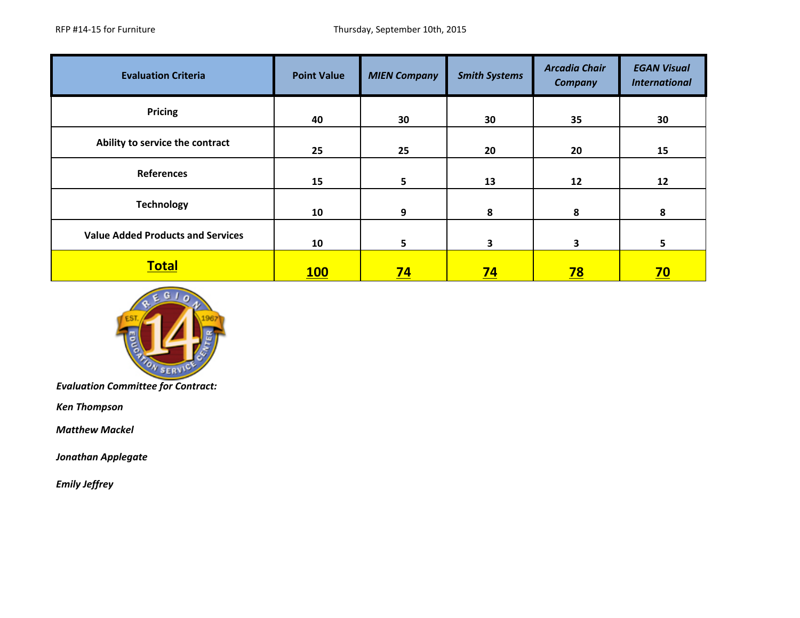| <b>Evaluation Criteria</b>               | <b>Point Value</b> | <b>MIEN Company</b> | <b>Smith Systems</b> | <b>Arcadia Chair</b><br><b>Company</b> | <b>EGAN Visual</b><br><b>International</b> |
|------------------------------------------|--------------------|---------------------|----------------------|----------------------------------------|--------------------------------------------|
| <b>Pricing</b>                           | 40                 | 30                  | 30                   | 35                                     | 30                                         |
| Ability to service the contract          | 25                 | 25                  | 20                   | 20                                     | 15                                         |
| <b>References</b>                        | 15                 | 5                   | 13                   | 12                                     | 12                                         |
| <b>Technology</b>                        | 10                 | 9                   | 8                    | 8                                      | 8                                          |
| <b>Value Added Products and Services</b> | 10                 | 5.                  | 3                    | 3                                      | 5                                          |
| <b>Total</b>                             | <b>100</b>         | <u>74</u>           | <u>74</u>            | <u>78</u>                              | <u>70</u>                                  |



*Ken Thompson*

 *Matthew Mackel*

*Jonathan Applegate*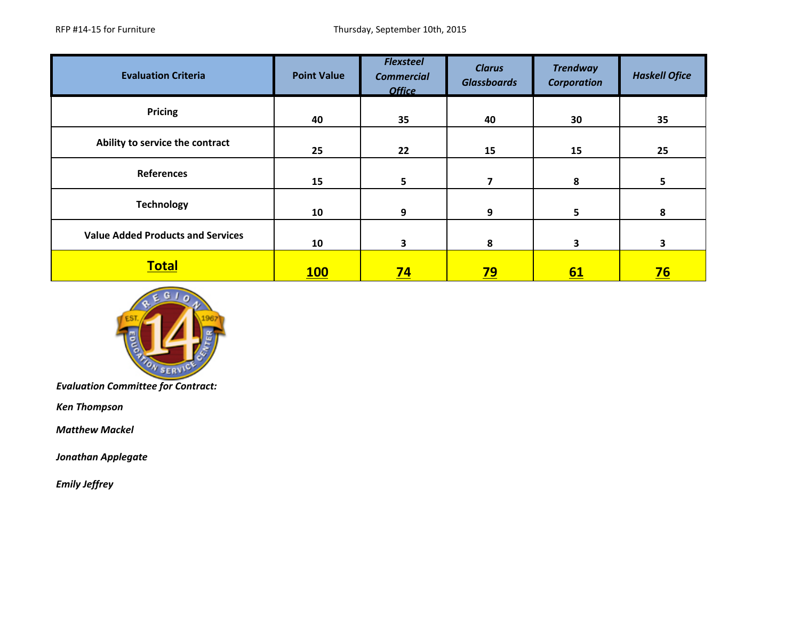| <b>Evaluation Criteria</b>               | <b>Point Value</b> | <b>Flexsteel</b><br><b>Commercial</b><br><b>Office</b> | <b>Clarus</b><br><b>Glassboards</b> | <b>Trendway</b><br><b>Corporation</b> | <b>Haskell Ofice</b>    |
|------------------------------------------|--------------------|--------------------------------------------------------|-------------------------------------|---------------------------------------|-------------------------|
| <b>Pricing</b>                           | 40                 | 35                                                     | 40                                  | 30                                    | 35                      |
| Ability to service the contract          | 25                 | 22                                                     | 15                                  | 15                                    | 25                      |
| <b>References</b>                        | 15                 | 5                                                      | 7                                   | 8                                     | 5                       |
| <b>Technology</b>                        | 10                 | 9                                                      | 9                                   | 5                                     | 8                       |
| <b>Value Added Products and Services</b> | 10                 | 3                                                      | 8                                   | 3                                     | $\overline{\mathbf{3}}$ |
| <b>Total</b>                             | 100                | $\overline{74}$                                        | <u>79</u>                           | 61                                    | <u>76</u>               |



*Ken Thompson*

 *Matthew Mackel*

*Jonathan Applegate*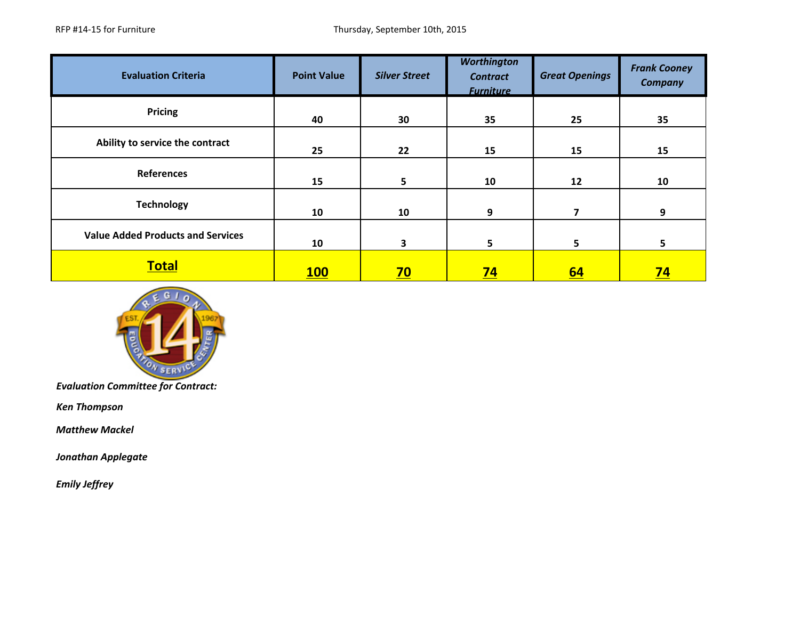| <b>Evaluation Criteria</b>               | <b>Point Value</b> | <b>Silver Street</b> | <b>Worthington</b><br><b>Contract</b><br><b>Furniture</b> | <b>Great Openings</b> | <b>Frank Cooney</b><br><b>Company</b> |
|------------------------------------------|--------------------|----------------------|-----------------------------------------------------------|-----------------------|---------------------------------------|
| Pricing                                  | 40                 | 30                   | 35                                                        | 25                    | 35                                    |
| Ability to service the contract          | 25                 | 22                   | 15                                                        | 15                    | 15                                    |
| <b>References</b>                        | 15                 | 5                    | 10                                                        | 12                    | 10                                    |
| <b>Technology</b>                        | 10                 | 10                   | 9                                                         | 7                     | 9                                     |
| <b>Value Added Products and Services</b> | 10                 | 3                    | 5                                                         | 5                     | 5.                                    |
| <b>Total</b>                             | <b>100</b>         | <u>70</u>            | <u>74</u>                                                 | <u>64</u>             | <u>74</u>                             |



*Ken Thompson*

 *Matthew Mackel*

*Jonathan Applegate*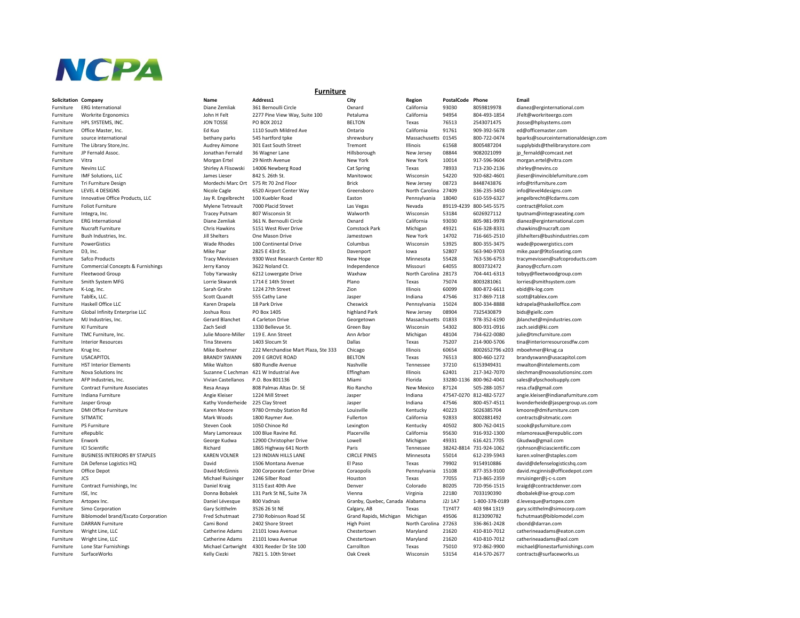

## $Solicitation$  **Company**

## **Furniture**

| Solicitation Company  |                                              | Name                  | Address1                            | City                           | Region         | PostalCode Phone |                         | Email                                |
|-----------------------|----------------------------------------------|-----------------------|-------------------------------------|--------------------------------|----------------|------------------|-------------------------|--------------------------------------|
| Furniture             | <b>ERG</b> International                     | Diane Zemliak         | 361 Bernoulli Circle                | Oxnard                         | California     | 93030            | 8059819978              | dianez@erginternational.com          |
| -urniture             | <b>Workrite Ergonomics</b>                   | John H Felt           | 2277 Pine View Way, Suite 100       | Petaluma                       | California     | 94954            | 804-493-1854            | JFelt@workriteergo.com               |
| Furniture             | HPL SYSTEMS, INC.                            | <b>JON TOSSE</b>      | PO BOX 2012                         | <b>BELTON</b>                  | Texas          | 76513            | 2543071475              | jtosse@hplsystems.com                |
| Furniture             | Office Master, Inc.                          | Ed Kuo                | 1110 South Mildred Ave              | Ontario                        | California     | 91761            | 909-392-5678            | ed@officemaster.com                  |
| Furniture             | source international                         | bethany parks         | 545 hartford tpke                   | shrewsbury                     | Massachusetts  | 01545            | 800-722-0474            | bparks@sourceinternationaldesign.com |
| Furniture             | The Library Store, Inc.                      | <b>Audrey Aimone</b>  | 301 East South Street               | Tremont                        | Illinois       | 61568            | 8005487204              | supplybids@thelibrarystore.com       |
| Furniture             | JP Fernald Assoc.                            | Jonathan Fernald      | 36 Wagner Lane                      | Hillsborough                   | New Jersey     | 08844            | 9082021099              | jp_fernald@comcast.net               |
| Furniture             | Vitra                                        | Morgan Ertel          | 29 Ninth Avenue                     | New York                       | New York       | 10014            | 917-596-9604            | morgan.ertel@vitra.com               |
| Furniture             | Nevins LLC                                   | Shirley A Flisowski   | 14006 Newberg Road                  | Cat Spring                     | Texas          | 78933            | 713-230-2136            | shirley@nevins.co                    |
| -urniture             | IMF Solutions, LLC                           | James Lieser          | 842 S. 26th St.                     | Manitowoc                      | Wisconsin      | 54220            | 920-682-4601            | jlieser@invinciblefurniture.com      |
| -urniture             | <b>Tri Furniture Design</b>                  | Mordechi Marc Ort     | 575 Rt 70 2nd Floor                 | <b>Brick</b>                   | New Jersey     | 08723            | 8448743876              | info@trifurniture.com                |
| Furniture             | LEVEL 4 DESIGNS                              | Nicole Cagle          | 6520 Airport Center Way             | Greensboro                     | North Carolina | 27409            | 336-235-3450            | info@level4designs.com               |
| Furniture             | Innovative Office Products, LLC              | Jay R. Engelbrecht    | 100 Kuebler Road                    | Easton                         | Pennsylvania   | 18040            | 610-559-6327            | jengelbrecht@lcdarms.com             |
| Furniture             | <b>Foliot Furniture</b>                      | Mylene Tetreault      | 7000 Placid Street                  | Las Vegas                      | Nevada         | 89119-4239       | 800-545-5575            | contract@foliot.com                  |
| Furniture             | Integra, Inc.                                | <b>Tracey Putnam</b>  | 807 Wisconsin St                    | Walworth                       | Wisconsin      | 53184            | 6026927112              | tputnam@integraseating.com           |
| Furniture             | <b>ERG</b> International                     | Diane Zemliak         | 361 N. Bernoulli Circle             | Oxnard                         | California     | 93030            | 805-981-9978            | dianez@erginternational.com          |
| Furniture             | Nucraft Furniture                            | Chris Hawkins         | 5151 West River Drive               | Comstock Park                  | Michigan       | 49321            | 616-328-8331            | chawkins@nucraft.com                 |
| Furniture             | Bush Industries, Inc.                        | Jill Shelters         | One Mason Drive                     | Jamestown                      | New York       | 14702            | 716-665-2510            | jillshelters@bushindustries.com      |
| Furniture             | PowerGistics                                 | <b>Wade Rhodes</b>    | 100 Continental Drive               | Columbus                       | Wisconsin      | 53925            | 800-355-3475            | wade@powergistics.com                |
| Furniture             | D3, Inc.                                     | Mike Paar             | 2825 E 43rd St.                     | Davenport                      | lowa           | 52807            | 563-940-9703            | mike.paar@9to5seating.com            |
| Furniture             | Safco Products                               | <b>Tracy Mevissen</b> | 9300 West Research Center RD        | New Hope                       | Minnesota      | 55428            | 763-536-6753            | tracymevissen@safcoproducts.com      |
| Furniture             | <b>Commercial Concepts &amp; Furnishings</b> | Jerry Kanoy           | 3622 Noland Ct.                     | Independence                   | Missouri       | 64055            | 8003732472              | jkanoy@ccfurn.com                    |
| -urniture             | Fleetwood Group                              | Toby Yarwasky         | 6212 Lowergate Drive                | Waxhaw                         | North Carolina | 28173            | 704-441-6313            | tobyy@fleetwoodgroup.com             |
| <sup>=</sup> urniture | Smith System MFG                             | Lorrie Skwarek        | 1714 E 14th Street                  | Plano                          | Texas          | 75074            | 8003281061              | lorries@smithsystem.com              |
| -urniture             | K-Log, Inc.                                  | Sarah Grahn           | 1224 27th Street                    | Zion                           | Illinois       | 60099            | 800-872-6611            | ebid@k-log.com                       |
| Furniture             | TablEx, LLC.                                 | Scott Quandt          | 555 Cathy Lane                      | Jasper                         | Indiana        | 47546            | 317-869-7118            | scott@tablex.com                     |
| Furniture             | Haskell Office LLC                           | Karen Drapela         | 18 Park Drive                       | Cheswick                       | Pennsylvania   | 15024            | 800-334-8888            | kdrapela@haskelloffice.com           |
| -urniture             | Global Infinity Enterprise LLC               | Joshua Ross           | PO Box 1405                         | highland Park                  | New Jersey     | 08904            | 7325430879              | bids@giellc.com                      |
| Furniture             | MJ Industries, Inc.                          | Gerard Blanchet       | 4 Carleton Drive                    | Georgetown                     | Massachusetts  | 01833            | 978-352-6190            | jblanchet@mjindustries.com           |
| Furniture             | KI Furniture                                 | Zach Seidl            | 1330 Bellevue St.                   | Green Bay                      | Wisconsin      | 54302            | 800-931-0916            | zach.seidl@ki.com                    |
| Furniture             | TMC Furniture, Inc.                          | Julie Moore-Miller    | 119 E. Ann Street                   | Ann Arbor                      | Michigan       | 48104            | 734-622-0080            | julie@tmcfurniture.com               |
| -urniture             | <b>Interior Resources</b>                    | Tina Stevens          | 1403 Slocum St                      | Dallas                         | Texas          | 75207            | 214-900-5706            | tina@interiorresourcesdfw.com        |
| Furniture             | Krug Inc.                                    | Mike Boehmer          | 222 Merchandise Mart Plaza, Ste 333 | Chicago                        | Illinois       | 60654            | 8002652796 x203         | mboehmer@krug.ca                     |
| -urniture             | <b>USACAPITOL</b>                            | <b>BRANDY SWANN</b>   | 209 E GROVE ROAD                    | <b>BELTON</b>                  | Texas          | 76513            | 800-460-1272            | brandyswann@usacapitol.com           |
| Furniture             | <b>HST Interior Elements</b>                 | Mike Walton           | 680 Rundle Avenue                   | Nashville                      | Tennessee      | 37210            | 6153949431              | mwalton@intelements.com              |
| Furniture             | Nova Solutions Inc                           | Suzanne C Lechman     | 421 W Industrial Ave                | Effingham                      | Illinois       | 62401            | 217-342-7070            | slechman@novasolutionsinc.com        |
| -urniture             | AFP Industries, Inc.                         | Vivian Castellanos    | P.O. Box 801136                     | Miami                          | Florida        |                  | 33280-1136 800-962-4041 | sales@afpschoolsupply.com            |
| Furniture             | <b>Contract Furniture Associates</b>         | Resa Anaya            | 808 Palmas Altas Dr. SE             | Rio Rancho                     | New Mexico     | 87124            | 505-288-1057            | resa.cfa@gmail.com                   |
| -urniture             | Indiana Furniture                            | Angie Kleiser         | 1224 Mill Street                    | Jasper                         | Indiana        |                  | 47547-0270 812-482-5727 | angie.kleiser@indianafurniture.com   |
| Furniture             | Jasper Group                                 | Kathy Vonderheide     | 225 Clay Street                     | Jasper                         | Indiana        | 47546            | 800-457-4511            | kvonderheide@jaspergroup.us.com      |
| Furniture             | <b>DMI Office Furniture</b>                  | Karen Moore           | 9780 Ormsby Station Rd              | Louisville                     | Kentucky       | 40223            | 5026385704              | kmoore@dmifurniture.com              |
| Furniture             | <b>SITMATIC</b>                              | Mark Woods            | 1800 Raymer Ave.                    | Fullerton                      | California     | 92833            | 8002881492              | contracts@sitmatic.com               |
| -urniture             | PS Furniture                                 | <b>Steven Cook</b>    | 1050 Chinoe Rd                      | Lexington                      | Kentucky       | 40502            | 800-762-0415            | scook@psfurniture.com                |
| Furniture             | eRepublic                                    | Mary Lamoreaux        | 100 Blue Ravine Rd.                 | Placerville                    | California     | 95630            | 916-932-1300            | mlamoreaux@erepublic.com             |
| Furniture             | Enwork                                       | George Kudwa          | 12900 Christopher Drive             | Lowell                         | Michigan       | 49331            | 616.421.7705            | Gkudwa@gmail.com                     |
| Furniture             | <b>ICI Scientific</b>                        | Richard               | 1865 Highway 641 North              | Paris                          | Tennessee      |                  | 38242-8814 731-924-1062 | rjohnson@iciascientific.com          |
| -urniture             | <b>BUSINESS INTERIORS BY STAPLES</b>         | <b>KAREN VOLNER</b>   | 123 INDIAN HILLS LANE               | <b>CIRCLE PINES</b>            | Minnesota      | 55014            | 612-239-5943            | karen.volner@staples.com             |
| Furniture             | DA Defense Logistics HQ                      | David                 | 1506 Montana Avenue                 | El Paso                        | Texas          | 79902            | 9154910886              | david@defenselogisticshq.com         |
| Furniture             | Office Depot                                 | David McGinnis        | 200 Corporate Center Drive          | Coraopolis                     | Pennsylvania   | 15108            | 877-353-9100            | david.mcginnis@officedepot.com       |
| Furniture             | JCS                                          | Michael Ruisinger     | 1246 Silber Road                    | Houston                        | Texas          | 77055            | 713-865-2359            | mruisinger@j-c-s.com                 |
| -urniture             | Contract Furnishings, Inc.                   | Daniel Kraig          | 3115 East 40th Ave                  | Denver                         | Colorado       | 80205            | 720-956-1515            | kraigd@contractdenver.com            |
| Furniture             | ISE, Inc                                     | Donna Bobalek         | 131 Park St NE, Suite 7A            | Vienna                         | Virginia       | 22180            | 7033190390              | dbobalek@ise-group.com               |
| Furniture             | Artopex Inc.                                 | Daniel Lévesque       | 800 Vadnais                         | Granby, Quebec, Canada Alabama |                | J2J 1A7          | 1-800-378-0189          | d.levesque@artopex.com               |
| Furniture             | Simo Corporation                             | Gary Scitthelm        | 3526 26 St NE                       | Calgary, AB                    | Texas          | T1Y4T7           | 403 984 1319            | gary.scitthelm@simocorp.com          |
| Furniture             | <b>Biblomodel brand/Escato Corporation</b>   | Fred Schutmaat        | 2730 Robinson Road SE               | Grand Rapids, Michigan         | Michigan       | 49506            | 8123090782              | fschutmaat@biblomodel.com            |
| Furniture             | <b>DARRAN Furniture</b>                      | Cami Bond             | 2402 Shore Street                   | <b>High Point</b>              | North Carolina | 27263            | 336-861-2428            | cbond@darran.com                     |
| Furniture             | Wright Line, LLC                             | Catherine Adams       | 21101 Iowa Avenue                   | Chestertown                    | Maryland       | 21620            | 410-810-7012            | catherineaadams@eaton.com            |
| Furniture             | Wright Line, LLC                             | Catherine Adams       | 21101 Iowa Avenue                   | Chestertown                    | Maryland       | 21620            | 410-810-7012            | catherineaadams@aol.com              |
| Furniture             | Lone Star Furnishings                        | Michael Cartwright    | 4301 Reeder Dr Ste 100              | Carrollton                     | Texas          | 75010<br>53154   | 972-862-9900            | michael@lonestarfurnishings.com      |
| Furniture             | SurfaceWorks                                 | Kelly Ciezki          | 7821 S. 10th Street                 | Oak Creek                      | Wisconsin      |                  | 414-570-2677            | contracts@surfaceworks.us            |